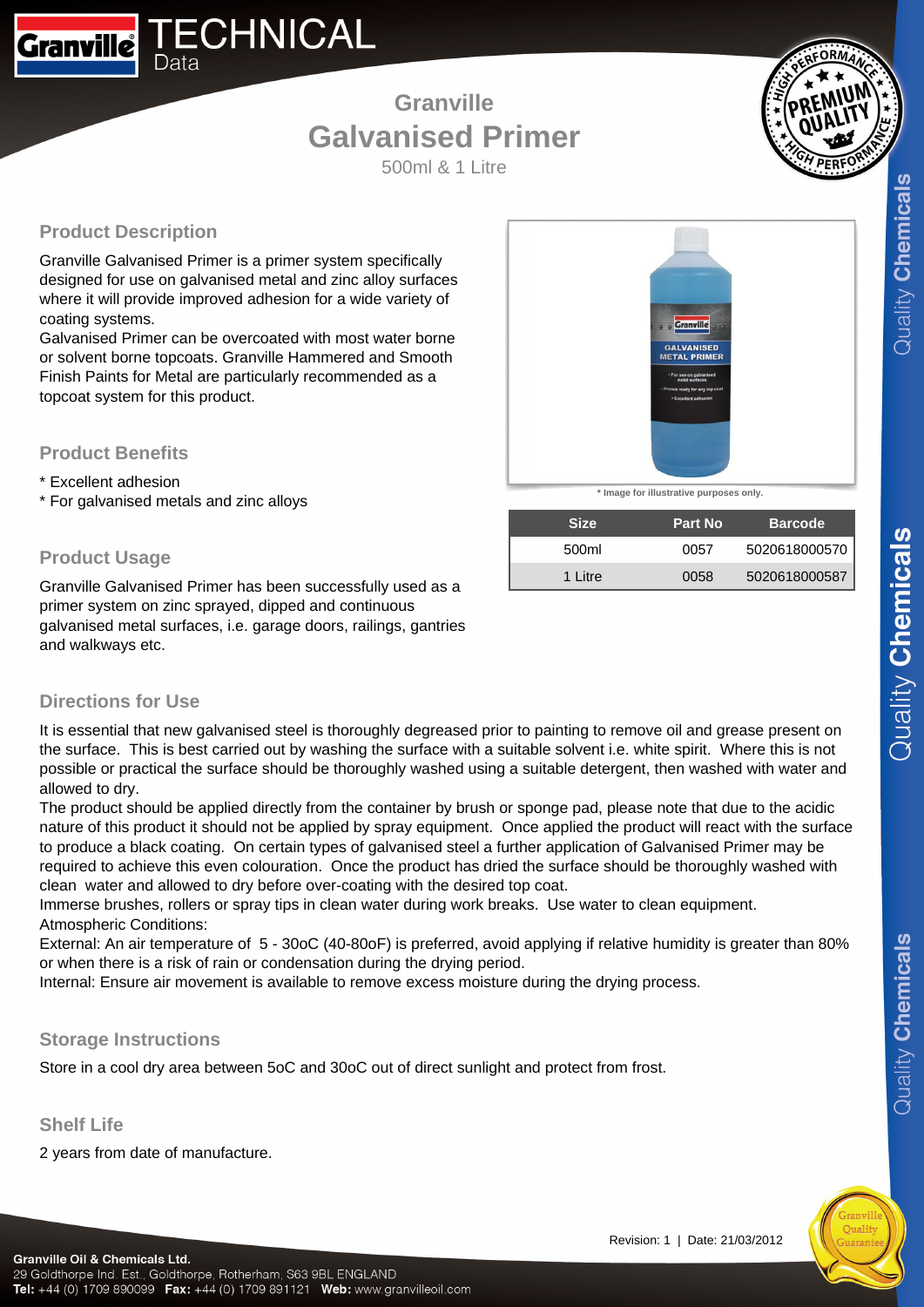500ml & 1 Litre

# **Product Description**

Data

**Granville** 

Granville Galvanised Primer is a primer system specifically designed for use on galvanised metal and zinc alloy surfaces where it will provide improved adhesion for a wide variety of coating systems.

**ECHNICAL** 

Galvanised Primer can be overcoated with most water borne or solvent borne topcoats. Granville Hammered and Smooth Finish Paints for Metal are particularly recommended as a topcoat system for this product.

## **Product Benefits**

- \* Excellent adhesion
- \* For galvanised metals and zinc alloys

# **Product Usage**

Granville Galvanised Primer has been successfully used as a primer system on zinc sprayed, dipped and continuous galvanised metal surfaces, i.e. garage doors, railings, gantries and walkways etc.



**\* Image for illustrative purposes only.**

| <b>Size</b> | <b>Part No</b> | <b>Barcode</b> |
|-------------|----------------|----------------|
| 500ml       | 0057           | 5020618000570  |
| 1 Litre     | 0058           | 5020618000587  |

# **Directions for Use**

It is essential that new galvanised steel is thoroughly degreased prior to painting to remove oil and grease present on the surface. This is best carried out by washing the surface with a suitable solvent i.e. white spirit. Where this is not possible or practical the surface should be thoroughly washed using a suitable detergent, then washed with water and allowed to dry.

The product should be applied directly from the container by brush or sponge pad, please note that due to the acidic nature of this product it should not be applied by spray equipment. Once applied the product will react with the surface to produce a black coating. On certain types of galvanised steel a further application of Galvanised Primer may be required to achieve this even colouration. Once the product has dried the surface should be thoroughly washed with clean water and allowed to dry before over-coating with the desired top coat.

Immerse brushes, rollers or spray tips in clean water during work breaks. Use water to clean equipment. Atmospheric Conditions:

External: An air temperature of 5 - 30oC (40-80oF) is preferred, avoid applying if relative humidity is greater than 80% or when there is a risk of rain or condensation during the drying period.

Internal: Ensure air movement is available to remove excess moisture during the drying process.

## **Storage Instructions**

Store in a cool dry area between 5oC and 30oC out of direct sunlight and protect from frost.

## **Shelf Life**

2 years from date of manufacture.

 $Quality$  Chemicals

Quality Chemicals

#### Revision: 1 | Date: 21/03/2012